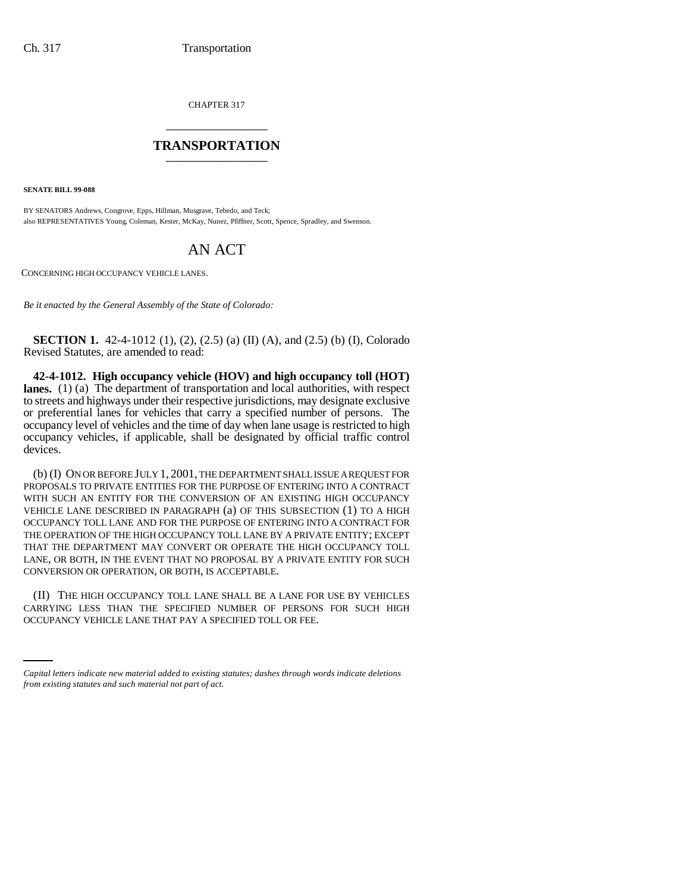CHAPTER 317 \_\_\_\_\_\_\_\_\_\_\_\_\_\_\_

## **TRANSPORTATION** \_\_\_\_\_\_\_\_\_\_\_\_\_\_\_

**SENATE BILL 99-088** 

BY SENATORS Andrews, Congrove, Epps, Hillman, Musgrave, Tebedo, and Teck; also REPRESENTATIVES Young, Coleman, Kester, McKay, Nunez, Pfiffner, Scott, Spence, Spradley, and Swenson.

## AN ACT

CONCERNING HIGH OCCUPANCY VEHICLE LANES.

*Be it enacted by the General Assembly of the State of Colorado:*

**SECTION 1.** 42-4-1012 (1), (2), (2.5) (a) (II) (A), and (2.5) (b) (I), Colorado Revised Statutes, are amended to read:

**42-4-1012. High occupancy vehicle (HOV) and high occupancy toll (HOT) lanes.** (1) (a) The department of transportation and local authorities, with respect to streets and highways under their respective jurisdictions, may designate exclusive or preferential lanes for vehicles that carry a specified number of persons. The occupancy level of vehicles and the time of day when lane usage is restricted to high occupancy vehicles, if applicable, shall be designated by official traffic control devices.

(b) (I) ON OR BEFORE JULY 1, 2001, THE DEPARTMENT SHALL ISSUE A REQUEST FOR PROPOSALS TO PRIVATE ENTITIES FOR THE PURPOSE OF ENTERING INTO A CONTRACT WITH SUCH AN ENTITY FOR THE CONVERSION OF AN EXISTING HIGH OCCUPANCY VEHICLE LANE DESCRIBED IN PARAGRAPH (a) OF THIS SUBSECTION (1) TO A HIGH OCCUPANCY TOLL LANE AND FOR THE PURPOSE OF ENTERING INTO A CONTRACT FOR THE OPERATION OF THE HIGH OCCUPANCY TOLL LANE BY A PRIVATE ENTITY; EXCEPT THAT THE DEPARTMENT MAY CONVERT OR OPERATE THE HIGH OCCUPANCY TOLL LANE, OR BOTH, IN THE EVENT THAT NO PROPOSAL BY A PRIVATE ENTITY FOR SUCH CONVERSION OR OPERATION, OR BOTH, IS ACCEPTABLE.

CARRYING LESS THAN THE SPECIFIED NUMBER OF PERSONS FOR SUCH HIGH (II) THE HIGH OCCUPANCY TOLL LANE SHALL BE A LANE FOR USE BY VEHICLES OCCUPANCY VEHICLE LANE THAT PAY A SPECIFIED TOLL OR FEE.

*Capital letters indicate new material added to existing statutes; dashes through words indicate deletions from existing statutes and such material not part of act.*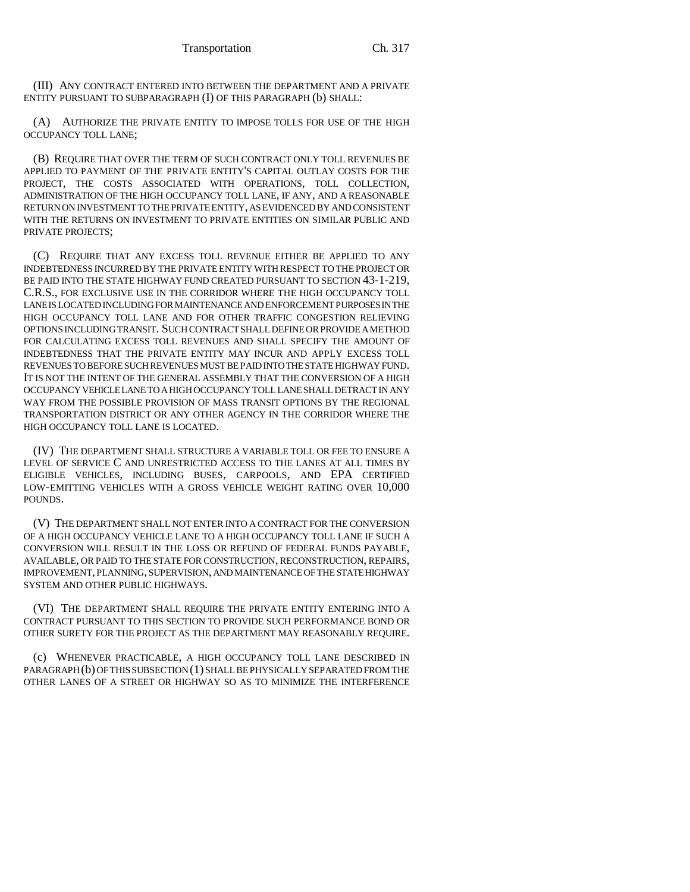(III) ANY CONTRACT ENTERED INTO BETWEEN THE DEPARTMENT AND A PRIVATE ENTITY PURSUANT TO SUBPARAGRAPH (I) OF THIS PARAGRAPH (b) SHALL:

(A) AUTHORIZE THE PRIVATE ENTITY TO IMPOSE TOLLS FOR USE OF THE HIGH OCCUPANCY TOLL LANE;

(B) REQUIRE THAT OVER THE TERM OF SUCH CONTRACT ONLY TOLL REVENUES BE APPLIED TO PAYMENT OF THE PRIVATE ENTITY'S CAPITAL OUTLAY COSTS FOR THE PROJECT, THE COSTS ASSOCIATED WITH OPERATIONS, TOLL COLLECTION, ADMINISTRATION OF THE HIGH OCCUPANCY TOLL LANE, IF ANY, AND A REASONABLE RETURN ON INVESTMENT TO THE PRIVATE ENTITY, AS EVIDENCED BY AND CONSISTENT WITH THE RETURNS ON INVESTMENT TO PRIVATE ENTITIES ON SIMILAR PUBLIC AND PRIVATE PROJECTS;

(C) REQUIRE THAT ANY EXCESS TOLL REVENUE EITHER BE APPLIED TO ANY INDEBTEDNESS INCURRED BY THE PRIVATE ENTITY WITH RESPECT TO THE PROJECT OR BE PAID INTO THE STATE HIGHWAY FUND CREATED PURSUANT TO SECTION 43-1-219, C.R.S., FOR EXCLUSIVE USE IN THE CORRIDOR WHERE THE HIGH OCCUPANCY TOLL LANE IS LOCATED INCLUDING FOR MAINTENANCE AND ENFORCEMENT PURPOSES IN THE HIGH OCCUPANCY TOLL LANE AND FOR OTHER TRAFFIC CONGESTION RELIEVING OPTIONS INCLUDING TRANSIT. SUCH CONTRACT SHALL DEFINE OR PROVIDE A METHOD FOR CALCULATING EXCESS TOLL REVENUES AND SHALL SPECIFY THE AMOUNT OF INDEBTEDNESS THAT THE PRIVATE ENTITY MAY INCUR AND APPLY EXCESS TOLL REVENUES TO BEFORE SUCH REVENUES MUST BE PAID INTO THE STATE HIGHWAY FUND. IT IS NOT THE INTENT OF THE GENERAL ASSEMBLY THAT THE CONVERSION OF A HIGH OCCUPANCY VEHICLE LANE TO A HIGH OCCUPANCY TOLL LANE SHALL DETRACT IN ANY WAY FROM THE POSSIBLE PROVISION OF MASS TRANSIT OPTIONS BY THE REGIONAL TRANSPORTATION DISTRICT OR ANY OTHER AGENCY IN THE CORRIDOR WHERE THE HIGH OCCUPANCY TOLL LANE IS LOCATED.

(IV) THE DEPARTMENT SHALL STRUCTURE A VARIABLE TOLL OR FEE TO ENSURE A LEVEL OF SERVICE C AND UNRESTRICTED ACCESS TO THE LANES AT ALL TIMES BY ELIGIBLE VEHICLES, INCLUDING BUSES, CARPOOLS, AND EPA CERTIFIED LOW-EMITTING VEHICLES WITH A GROSS VEHICLE WEIGHT RATING OVER 10,000 POUNDS.

(V) THE DEPARTMENT SHALL NOT ENTER INTO A CONTRACT FOR THE CONVERSION OF A HIGH OCCUPANCY VEHICLE LANE TO A HIGH OCCUPANCY TOLL LANE IF SUCH A CONVERSION WILL RESULT IN THE LOSS OR REFUND OF FEDERAL FUNDS PAYABLE, AVAILABLE, OR PAID TO THE STATE FOR CONSTRUCTION, RECONSTRUCTION, REPAIRS, IMPROVEMENT, PLANNING, SUPERVISION, AND MAINTENANCE OF THE STATE HIGHWAY SYSTEM AND OTHER PUBLIC HIGHWAYS.

(VI) THE DEPARTMENT SHALL REQUIRE THE PRIVATE ENTITY ENTERING INTO A CONTRACT PURSUANT TO THIS SECTION TO PROVIDE SUCH PERFORMANCE BOND OR OTHER SURETY FOR THE PROJECT AS THE DEPARTMENT MAY REASONABLY REQUIRE.

(c) WHENEVER PRACTICABLE, A HIGH OCCUPANCY TOLL LANE DESCRIBED IN PARAGRAPH (b) OF THIS SUBSECTION (1) SHALL BE PHYSICALLY SEPARATED FROM THE OTHER LANES OF A STREET OR HIGHWAY SO AS TO MINIMIZE THE INTERFERENCE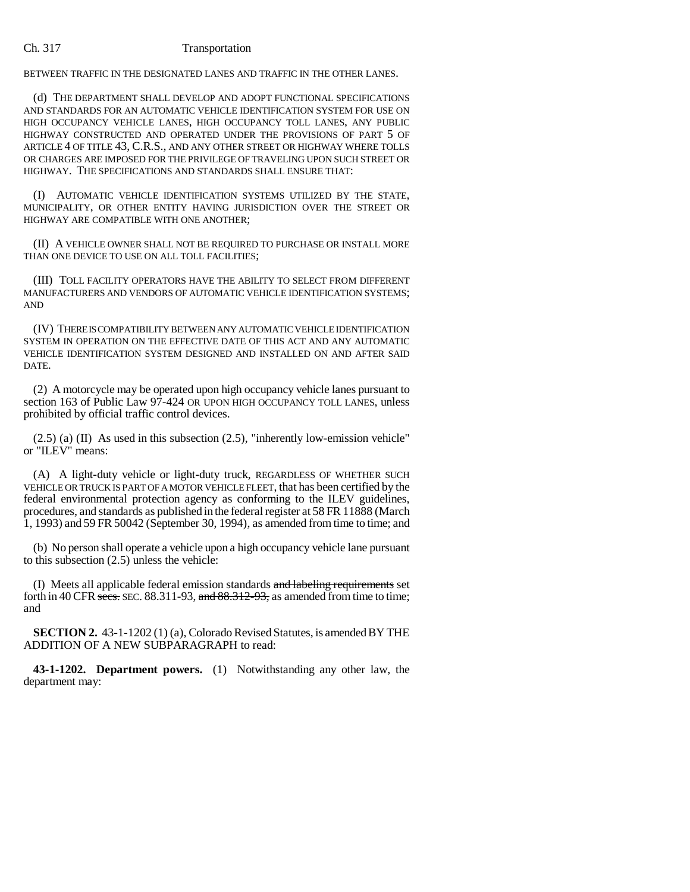## Ch. 317 Transportation

BETWEEN TRAFFIC IN THE DESIGNATED LANES AND TRAFFIC IN THE OTHER LANES.

(d) THE DEPARTMENT SHALL DEVELOP AND ADOPT FUNCTIONAL SPECIFICATIONS AND STANDARDS FOR AN AUTOMATIC VEHICLE IDENTIFICATION SYSTEM FOR USE ON HIGH OCCUPANCY VEHICLE LANES, HIGH OCCUPANCY TOLL LANES, ANY PUBLIC HIGHWAY CONSTRUCTED AND OPERATED UNDER THE PROVISIONS OF PART 5 OF ARTICLE 4 OF TITLE 43, C.R.S., AND ANY OTHER STREET OR HIGHWAY WHERE TOLLS OR CHARGES ARE IMPOSED FOR THE PRIVILEGE OF TRAVELING UPON SUCH STREET OR HIGHWAY. THE SPECIFICATIONS AND STANDARDS SHALL ENSURE THAT:

(I) AUTOMATIC VEHICLE IDENTIFICATION SYSTEMS UTILIZED BY THE STATE, MUNICIPALITY, OR OTHER ENTITY HAVING JURISDICTION OVER THE STREET OR HIGHWAY ARE COMPATIBLE WITH ONE ANOTHER;

(II) A VEHICLE OWNER SHALL NOT BE REQUIRED TO PURCHASE OR INSTALL MORE THAN ONE DEVICE TO USE ON ALL TOLL FACILITIES;

(III) TOLL FACILITY OPERATORS HAVE THE ABILITY TO SELECT FROM DIFFERENT MANUFACTURERS AND VENDORS OF AUTOMATIC VEHICLE IDENTIFICATION SYSTEMS; AND

(IV) THERE IS COMPATIBILITY BETWEEN ANY AUTOMATIC VEHICLE IDENTIFICATION SYSTEM IN OPERATION ON THE EFFECTIVE DATE OF THIS ACT AND ANY AUTOMATIC VEHICLE IDENTIFICATION SYSTEM DESIGNED AND INSTALLED ON AND AFTER SAID DATE.

(2) A motorcycle may be operated upon high occupancy vehicle lanes pursuant to section 163 of Public Law 97-424 OR UPON HIGH OCCUPANCY TOLL LANES, unless prohibited by official traffic control devices.

(2.5) (a) (II) As used in this subsection (2.5), "inherently low-emission vehicle" or "ILEV" means:

(A) A light-duty vehicle or light-duty truck, REGARDLESS OF WHETHER SUCH VEHICLE OR TRUCK IS PART OF A MOTOR VEHICLE FLEET, that has been certified by the federal environmental protection agency as conforming to the ILEV guidelines, procedures, and standards as published in the federal register at 58 FR 11888 (March 1, 1993) and 59 FR 50042 (September 30, 1994), as amended from time to time; and

(b) No person shall operate a vehicle upon a high occupancy vehicle lane pursuant to this subsection (2.5) unless the vehicle:

(I) Meets all applicable federal emission standards and labeling requirements set forth in 40 CFR secs. SEC. 88.311-93, and  $88.312-93$ , as amended from time to time; and

**SECTION 2.** 43-1-1202 (1) (a), Colorado Revised Statutes, is amended BY THE ADDITION OF A NEW SUBPARAGRAPH to read:

**43-1-1202. Department powers.** (1) Notwithstanding any other law, the department may: